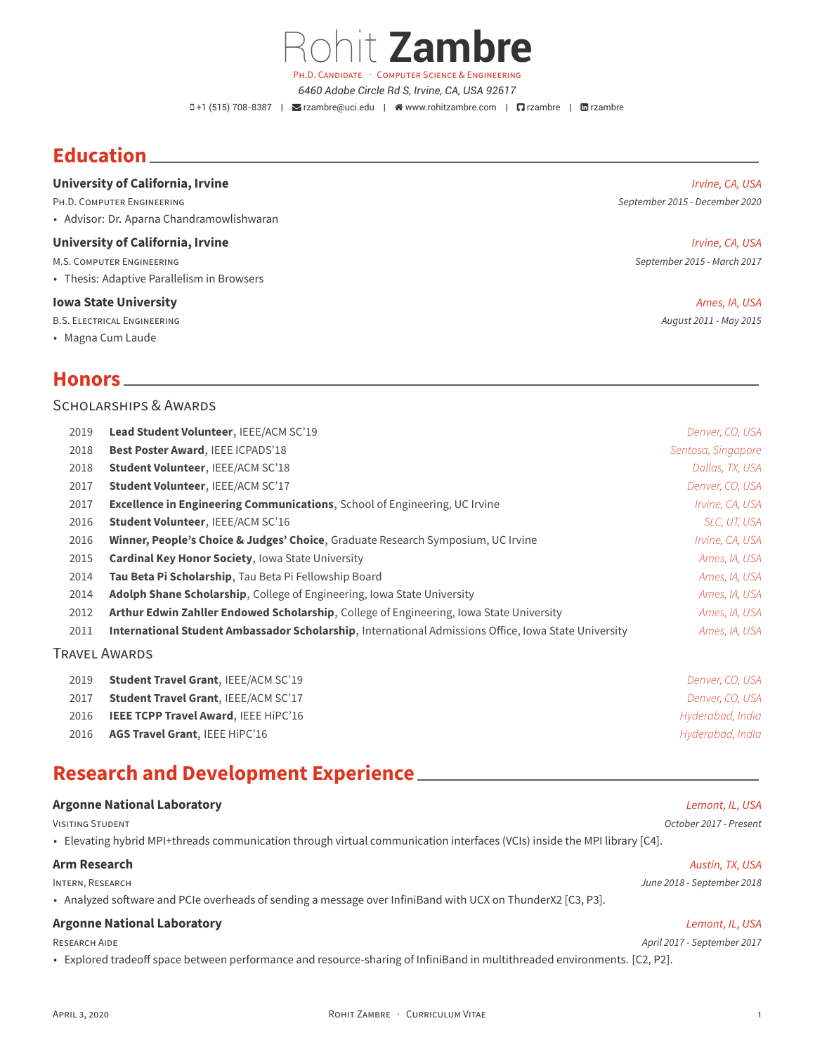PH.D. CANDIDATE · COMPUTER SCIENCE & ENGINEERING *6460 Adobe Circle Rd S, Irvine, CA, USA 92617*

Rohit **Zambre**

+1 (515) 708-8387 | [rzambre@uci.edu](mailto:rzambre@uci.edu) | [www.rohitzambre.com](http://www.rohitzambre.com) | [rzambre](https://github.com/rzambre) | [rzambre](https://www.linkedin.com/in/rzambre)

# **Education**

## **University of California, Irvine** *Irvine, CA, USA*

• Advisor: Dr. Aparna Chandramowlishwaran

#### **University of California, Irvine** *Irvine, CA, USA*

• Thesis: Adaptive Parallelism in Browsers

#### **Iowa State University** *Ames, IA, USA*

B.S. ELECTRICAL ENGINEERING *August 2011 - May 2015*

• Magna Cum Laude

## **Honors**

### SCHOLARSHIPS & AWARDS

| 2019 | Lead Student Volunteer, IEEE/ACM SC'19                                                                      | Denver, CO, USA    |
|------|-------------------------------------------------------------------------------------------------------------|--------------------|
| 2018 | Best Poster Award, IEEE ICPADS'18                                                                           | Sentosa, Singapore |
| 2018 | <b>Student Volunteer, IEEE/ACM SC'18</b>                                                                    | Dallas, TX, USA    |
| 2017 | <b>Student Volunteer, IEEE/ACM SC'17</b>                                                                    | Denver, CO, USA    |
| 2017 | <b>Excellence in Engineering Communications, School of Engineering, UC Irvine</b>                           | Irvine, CA, USA    |
| 2016 | <b>Student Volunteer, IEEE/ACM SC'16</b>                                                                    | SLC, UT, USA       |
| 2016 | Winner, People's Choice & Judges' Choice, Graduate Research Symposium, UC Irvine                            | Irvine, CA, USA    |
| 2015 | <b>Cardinal Key Honor Society, Iowa State University</b>                                                    | Ames, IA, USA      |
| 2014 | Tau Beta Pi Scholarship, Tau Beta Pi Fellowship Board                                                       | Ames, IA, USA      |
| 2014 | <b>Adolph Shane Scholarship, College of Engineering, Iowa State University</b>                              | Ames, IA, USA      |
| 2012 | Arthur Edwin Zahller Endowed Scholarship, College of Engineering, Iowa State University                     | Ames, IA, USA      |
| 2011 | <b>International Student Ambassador Scholarship, International Admissions Office, Iowa State University</b> | Ames, IA, USA      |
|      | <b>TRAVEL AWARDS</b>                                                                                        |                    |
| 2019 | <b>Student Travel Grant, IEEE/ACM SC'19</b>                                                                 | Denver, CO, USA    |
| 2017 | Student Travel Grant, IEEE/ACM SC'17                                                                        | Denver, CO, USA    |
| 2016 | IEEE TCPP Travel Award, IEEE HiPC'16                                                                        | Hyderabad, India   |

2016 **AGS Travel Grant**, IEEE HiPC'16 *Hyderabad, India*

# **Research and Development Experience**

## **Argonne National Laboratory** *Lemont, IL, USA*

VISITING STUDENT *October 2017 - Present*

• Elevating hybrid MPI+threads communication through virtual communication interfaces (VCIs) inside the MPI library [C4].

## **Arm Research** *Austin, TX, USA*

• Analyzed software and PCIe overheads of sending a message over InfiniBand with UCX on ThunderX2 [C3, P3].

### **Argonne National Laboratory** *Lemont, IL, USA*

• Explored tradeoff space between performance and resource-sharing of InfiniBand in multithreaded environments. [C2, P2].

PH.D. COMPUTER ENGINEERING *September 2015 - December 2020*

M.S. COMPUTER ENGINEERING *September 2015 - March 2017*

INTERN, RESEARCH *June 2018 - September 2018*

## RESEARCH AIDE *April 2017 - September 2017*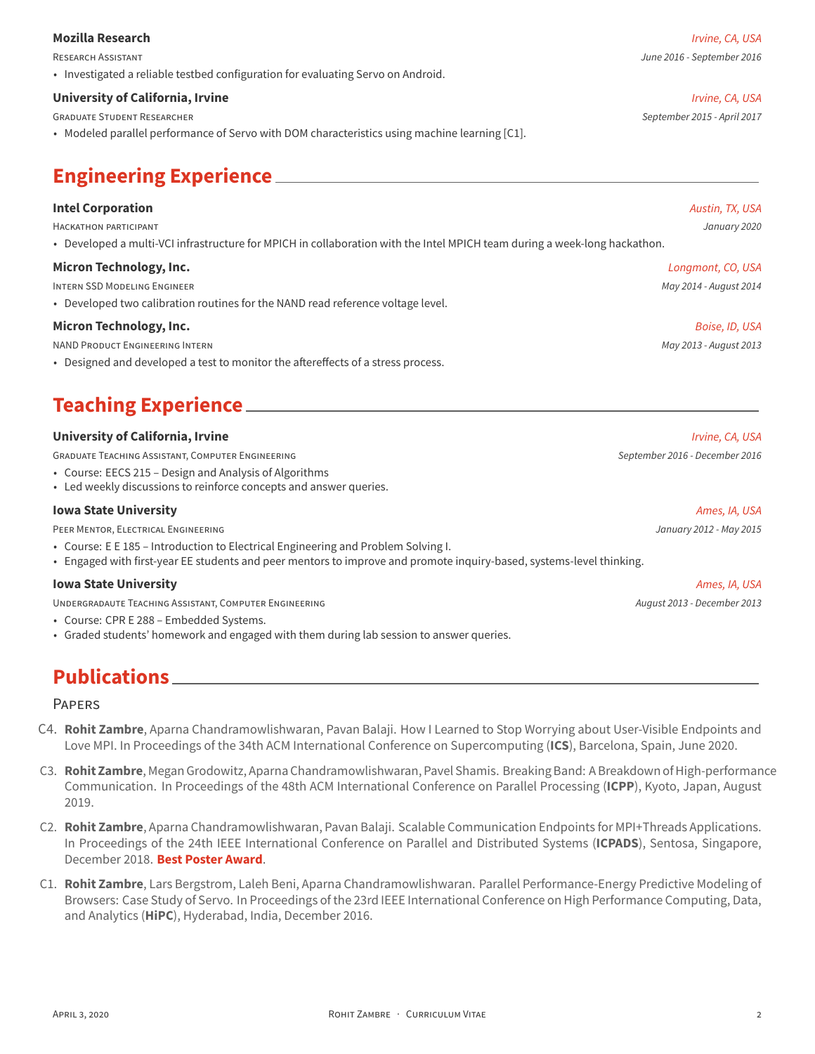## **Mozilla Research** *Irvine, CA, USA*

• Investigated a reliable testbed configuration for evaluating Servo on Android.

## **University of California, Irvine** *Irvine, CA, USA*

GRADUATE STUDENT RESEARCHER *September 2015 - April 2017*

• Modeled parallel performance of Servo with DOM characteristics using machine learning [C1].

# **Engineering Experience**

### **Intel Corporation** *Austin, TX, USA*

HACKATHON PARTICIPANT *January 2020*

• Developed a multi-VCI infrastructure for MPICH in collaboration with the Intel MPICH team during a week-long hackathon.

#### **Micron Technology, Inc.** *Longmont, CO, USA*

INTERN SSD MODELING ENGINEER *May 2014 - August 2014*

• Developed two calibration routines for the NAND read reference voltage level.

### **Micron Technology, Inc.** *Boise, ID, USA*

NAND PRODUCT ENGINEERING INTERN *May 2013 - August 2013*

• Designed and developed a test to monitor the aftereffects of a stress process.

# **Teaching Experience**

### **University of California, Irvine** *Irvine, CA, USA*

GRADUATE TEACHING ASSISTANT, COMPUTER ENGINEERING *September 2016 - December 2016*

- Course: EECS 215 Design and Analysis of Algorithms
- Led weekly discussions to reinforce concepts and answer queries.

#### **Iowa State University** *Ames, IA, USA*

PEER MENTOR, ELECTRICAL ENGINEERING *January 2012 - May 2015*

- Course: E E 185 Introduction to Electrical Engineering and Problem Solving I.
- Engaged with first-year EE students and peer mentors to improve and promote inquiry-based, systems-level thinking.

### **Iowa State University** *Ames, IA, USA*

UNDERGRADAUTE TEACHING ASSISTANT, COMPUTER ENGINEERING *August 2013 - December 2013*

- Course: CPR E 288 Embedded Systems.
- Graded students' homework and engaged with them during lab session to answer queries.

# **Publications**

#### PAPERS

- C4. **Rohit Zambre**, Aparna Chandramowlishwaran, Pavan Balaji. How I Learned to Stop Worrying about User-Visible Endpoints and Love MPI. In Proceedings of the 34th ACM International Conference on Supercomputing (**ICS**), Barcelona, Spain, June 2020.
- C3. **Rohit Zambre**, Megan Grodowitz, Aparna Chandramowlishwaran, Pavel Shamis. Breaking Band: A Breakdown of High-performance Communication. In Proceedings of the 48th ACM International Conference on Parallel Processing (**ICPP**), Kyoto, Japan, August 2019.
- C2. **Rohit Zambre**, Aparna Chandramowlishwaran, Pavan Balaji. Scalable Communication Endpoints for MPI+Threads Applications. In Proceedings of the 24th IEEE International Conference on Parallel and Distributed Systems (**ICPADS**), Sentosa, Singapore, December 2018. **Best Poster Award**.
- C1. **Rohit Zambre**, Lars Bergstrom, Laleh Beni, Aparna Chandramowlishwaran. Parallel Performance-Energy Predictive Modeling of Browsers: Case Study of Servo. In Proceedings of the 23rd IEEE International Conference on High Performance Computing, Data, and Analytics (**HiPC**), Hyderabad, India, December 2016.

RESEARCH ASSISTANT *June 2016 - September 2016*